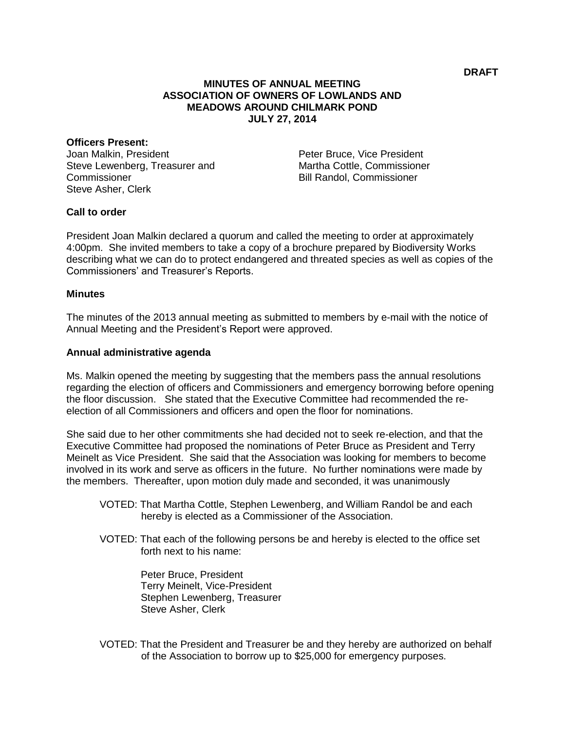## **MINUTES OF ANNUAL MEETING ASSOCIATION OF OWNERS OF LOWLANDS AND MEADOWS AROUND CHILMARK POND JULY 27, 2014**

#### **Officers Present:**

Joan Malkin, President Steve Lewenberg, Treasurer and **Commissioner** Steve Asher, Clerk

Peter Bruce, Vice President Martha Cottle, Commissioner Bill Randol, Commissioner

## **Call to order**

President Joan Malkin declared a quorum and called the meeting to order at approximately 4:00pm. She invited members to take a copy of a brochure prepared by Biodiversity Works describing what we can do to protect endangered and threated species as well as copies of the Commissioners' and Treasurer's Reports.

#### **Minutes**

The minutes of the 2013 annual meeting as submitted to members by e-mail with the notice of Annual Meeting and the President's Report were approved.

## **Annual administrative agenda**

Ms. Malkin opened the meeting by suggesting that the members pass the annual resolutions regarding the election of officers and Commissioners and emergency borrowing before opening the floor discussion. She stated that the Executive Committee had recommended the reelection of all Commissioners and officers and open the floor for nominations.

She said due to her other commitments she had decided not to seek re-election, and that the Executive Committee had proposed the nominations of Peter Bruce as President and Terry Meinelt as Vice President. She said that the Association was looking for members to become involved in its work and serve as officers in the future. No further nominations were made by the members. Thereafter, upon motion duly made and seconded, it was unanimously

- VOTED: That Martha Cottle, Stephen Lewenberg, and William Randol be and each hereby is elected as a Commissioner of the Association.
- VOTED: That each of the following persons be and hereby is elected to the office set forth next to his name:

Peter Bruce, President Terry Meinelt, Vice-President Stephen Lewenberg, Treasurer Steve Asher, Clerk

VOTED: That the President and Treasurer be and they hereby are authorized on behalf of the Association to borrow up to \$25,000 for emergency purposes.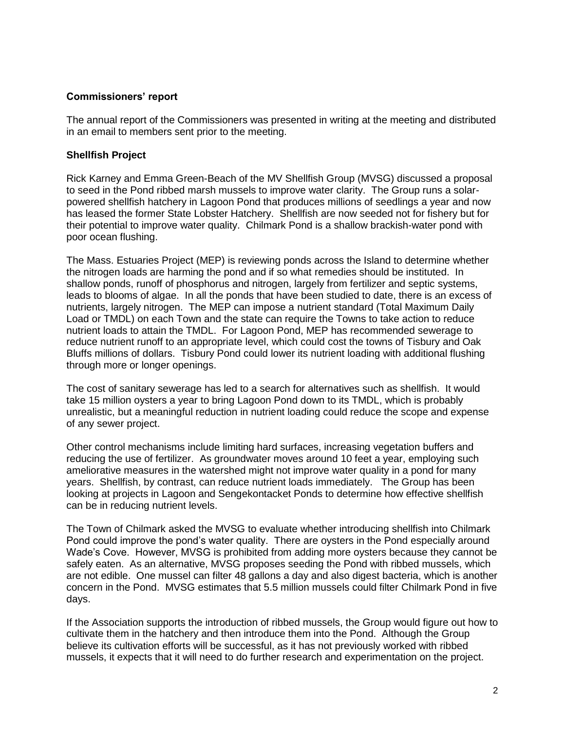# **Commissioners' report**

The annual report of the Commissioners was presented in writing at the meeting and distributed in an email to members sent prior to the meeting.

#### **Shellfish Project**

Rick Karney and Emma Green-Beach of the MV Shellfish Group (MVSG) discussed a proposal to seed in the Pond ribbed marsh mussels to improve water clarity. The Group runs a solarpowered shellfish hatchery in Lagoon Pond that produces millions of seedlings a year and now has leased the former State Lobster Hatchery. Shellfish are now seeded not for fishery but for their potential to improve water quality. Chilmark Pond is a shallow brackish-water pond with poor ocean flushing.

The Mass. Estuaries Project (MEP) is reviewing ponds across the Island to determine whether the nitrogen loads are harming the pond and if so what remedies should be instituted. In shallow ponds, runoff of phosphorus and nitrogen, largely from fertilizer and septic systems, leads to blooms of algae. In all the ponds that have been studied to date, there is an excess of nutrients, largely nitrogen. The MEP can impose a nutrient standard (Total Maximum Daily Load or TMDL) on each Town and the state can require the Towns to take action to reduce nutrient loads to attain the TMDL. For Lagoon Pond, MEP has recommended sewerage to reduce nutrient runoff to an appropriate level, which could cost the towns of Tisbury and Oak Bluffs millions of dollars. Tisbury Pond could lower its nutrient loading with additional flushing through more or longer openings.

The cost of sanitary sewerage has led to a search for alternatives such as shellfish. It would take 15 million oysters a year to bring Lagoon Pond down to its TMDL, which is probably unrealistic, but a meaningful reduction in nutrient loading could reduce the scope and expense of any sewer project.

Other control mechanisms include limiting hard surfaces, increasing vegetation buffers and reducing the use of fertilizer. As groundwater moves around 10 feet a year, employing such ameliorative measures in the watershed might not improve water quality in a pond for many years. Shellfish, by contrast, can reduce nutrient loads immediately. The Group has been looking at projects in Lagoon and Sengekontacket Ponds to determine how effective shellfish can be in reducing nutrient levels.

The Town of Chilmark asked the MVSG to evaluate whether introducing shellfish into Chilmark Pond could improve the pond's water quality. There are oysters in the Pond especially around Wade's Cove. However, MVSG is prohibited from adding more oysters because they cannot be safely eaten. As an alternative, MVSG proposes seeding the Pond with ribbed mussels, which are not edible. One mussel can filter 48 gallons a day and also digest bacteria, which is another concern in the Pond. MVSG estimates that 5.5 million mussels could filter Chilmark Pond in five days.

If the Association supports the introduction of ribbed mussels, the Group would figure out how to cultivate them in the hatchery and then introduce them into the Pond. Although the Group believe its cultivation efforts will be successful, as it has not previously worked with ribbed mussels, it expects that it will need to do further research and experimentation on the project.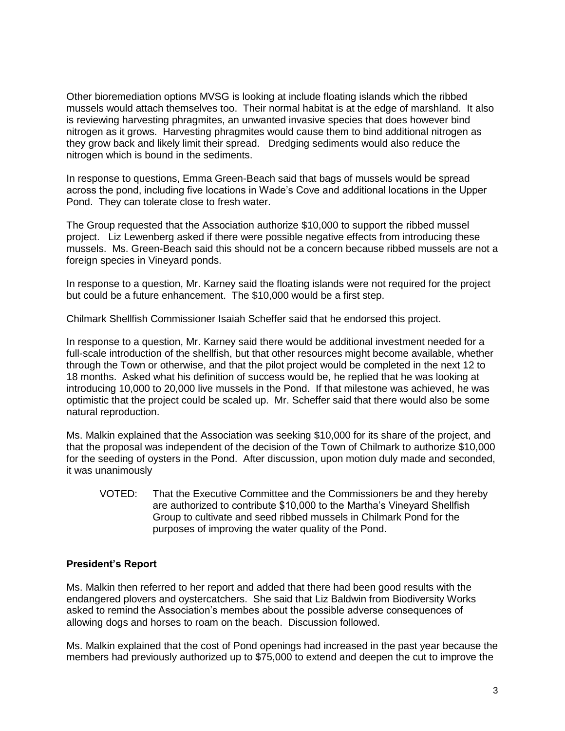Other bioremediation options MVSG is looking at include floating islands which the ribbed mussels would attach themselves too. Their normal habitat is at the edge of marshland. It also is reviewing harvesting phragmites, an unwanted invasive species that does however bind nitrogen as it grows. Harvesting phragmites would cause them to bind additional nitrogen as they grow back and likely limit their spread. Dredging sediments would also reduce the nitrogen which is bound in the sediments.

In response to questions, Emma Green-Beach said that bags of mussels would be spread across the pond, including five locations in Wade's Cove and additional locations in the Upper Pond. They can tolerate close to fresh water.

The Group requested that the Association authorize \$10,000 to support the ribbed mussel project. Liz Lewenberg asked if there were possible negative effects from introducing these mussels. Ms. Green-Beach said this should not be a concern because ribbed mussels are not a foreign species in Vinevard ponds.

In response to a question, Mr. Karney said the floating islands were not required for the project but could be a future enhancement. The \$10,000 would be a first step.

Chilmark Shellfish Commissioner Isaiah Scheffer said that he endorsed this project.

In response to a question, Mr. Karney said there would be additional investment needed for a full-scale introduction of the shellfish, but that other resources might become available, whether through the Town or otherwise, and that the pilot project would be completed in the next 12 to 18 months. Asked what his definition of success would be, he replied that he was looking at introducing 10,000 to 20,000 live mussels in the Pond. If that milestone was achieved, he was optimistic that the project could be scaled up. Mr. Scheffer said that there would also be some natural reproduction.

Ms. Malkin explained that the Association was seeking \$10,000 for its share of the project, and that the proposal was independent of the decision of the Town of Chilmark to authorize \$10,000 for the seeding of oysters in the Pond. After discussion, upon motion duly made and seconded, it was unanimously

VOTED: That the Executive Committee and the Commissioners be and they hereby are authorized to contribute \$10,000 to the Martha's Vineyard Shellfish Group to cultivate and seed ribbed mussels in Chilmark Pond for the purposes of improving the water quality of the Pond.

# **President's Report**

Ms. Malkin then referred to her report and added that there had been good results with the endangered plovers and oystercatchers. She said that Liz Baldwin from Biodiversity Works asked to remind the Association's membes about the possible adverse consequences of allowing dogs and horses to roam on the beach. Discussion followed.

Ms. Malkin explained that the cost of Pond openings had increased in the past year because the members had previously authorized up to \$75,000 to extend and deepen the cut to improve the